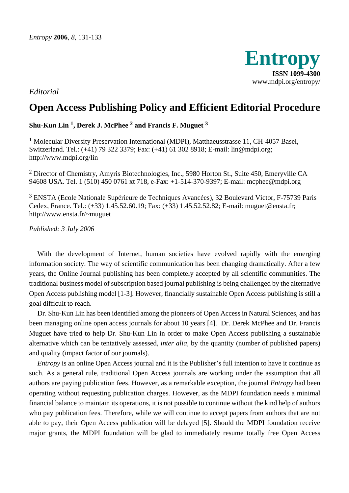

*Editorial* 

## **Open Access Publishing Policy and Efficient Editorial Procedure**

**Shu-Kun Lin 1, Derek J. McPhee 2 and Francis F. Muguet 3** 

<sup>1</sup> Molecular Diversity Preservation International (MDPI), Matthaeusstrasse 11, CH-4057 Basel, Switzerland. Tel.: (+41) 79 322 3379; Fax: (+41) 61 302 8918; E-mail: lin@mdpi.org; http://www.mdpi.org/lin

 $2$  Director of Chemistry, Amyris Biotechnologies, Inc., 5980 Horton St., Suite 450, Emeryville CA 94608 USA. Tel. 1 (510) 450 0761 xt 718, e-Fax: +1-514-370-9397; E-mail: mcphee@mdpi.org

3 ENSTA (Ecole Nationale Supérieure de Techniques Avancées), 32 Boulevard Victor, F-75739 Paris Cedex, France. Tel.: (+33) 1.45.52.60.19; Fax: (+33) 1.45.52.52.82; E-mail: muguet@ensta.fr; http://www.ensta.fr/~muguet

*Published: 3 July 2006* 

With the development of Internet, human societies have evolved rapidly with the emerging information society. The way of scientific communication has been changing dramatically. After a few years, the Online Journal publishing has been completely accepted by all scientific communities. The traditional business model of subscription based journal publishing is being challenged by the alternative Open Access publishing model [1-3]. However, financially sustainable Open Access publishing is still a goal difficult to reach.

Dr. Shu-Kun Lin has been identified among the pioneers of Open Access in Natural Sciences, and has been managing online open access journals for about 10 years [4]. Dr. Derek McPhee and Dr. Francis Muguet have tried to help Dr. Shu-Kun Lin in order to make Open Access publishing a sustainable alternative which can be tentatively assessed, *inter alia*, by the quantity (number of published papers) and quality (impact factor of our journals).

*Entropy* is an online Open Access journal and it is the Publisher's full intention to have it continue as such. As a general rule, traditional Open Access journals are working under the assumption that all authors are paying publication fees. However, as a remarkable exception, the journal *Entropy* had been operating without requesting publication charges. However, as the MDPI foundation needs a minimal financial balance to maintain its operations, it is not possible to continue without the kind help of authors who pay publication fees. Therefore, while we will continue to accept papers from authors that are not able to pay, their Open Access publication will be delayed [5]. Should the MDPI foundation receive major grants, the MDPI foundation will be glad to immediately resume totally free Open Access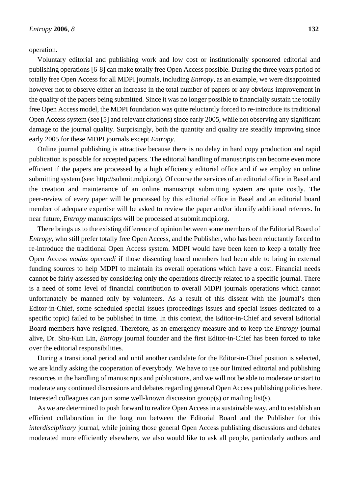operation.

Voluntary editorial and publishing work and low cost or institutionally sponsored editorial and publishing operations [6-8] can make totally free Open Access possible. During the three years period of totally free Open Access for all MDPI journals, including *Entropy*, as an example, we were disappointed however not to observe either an increase in the total number of papers or any obvious improvement in the quality of the papers being submitted. Since it was no longer possible to financially sustain the totally free Open Access model, the MDPI foundation was quite reluctantly forced to re-introduce its traditional Open Access system (see [5] and relevant citations) since early 2005, while not observing any significant damage to the journal quality. Surprisingly, both the quantity and quality are steadily improving since early 2005 for these MDPI journals except *Entropy*.

Online journal publishing is attractive because there is no delay in hard copy production and rapid publication is possible for accepted papers. The editorial handling of manuscripts can become even more efficient if the papers are processed by a high efficiency editorial office and if we employ an online submitting system (see: http://submit.mdpi.org). Of course the services of an editorial office in Basel and the creation and maintenance of an online manuscript submitting system are quite costly. The peer-review of every paper will be processed by this editorial office in Basel and an editorial board member of adequate expertise will be asked to review the paper and/or identify additional referees. In near future, *Entropy* manuscripts will be processed at submit.mdpi.org.

There brings us to the existing difference of opinion between some members of the Editorial Board of *Entropy*, who still prefer totally free Open Access, and the Publisher, who has been reluctantly forced to re-introduce the traditional Open Access system. MDPI would have been keen to keep a totally free Open Access *modus operandi* if those dissenting board members had been able to bring in external funding sources to help MDPI to maintain its overall operations which have a cost. Financial needs cannot be fairly assessed by considering only the operations directly related to a specific journal. There is a need of some level of financial contribution to overall MDPI journals operations which cannot unfortunately be manned only by volunteers. As a result of this dissent with the journal's then Editor-in-Chief, some scheduled special issues (proceedings issues and special issues dedicated to a specific topic) failed to be published in time. In this context, the Editor-in-Chief and several Editorial Board members have resigned. Therefore, as an emergency measure and to keep the *Entropy* journal alive, Dr. Shu-Kun Lin, *Entropy* journal founder and the first Editor-in-Chief has been forced to take over the editorial responsibilities.

During a transitional period and until another candidate for the Editor-in-Chief position is selected, we are kindly asking the cooperation of everybody. We have to use our limited editorial and publishing resources in the handling of manuscripts and publications, and we will not be able to moderate or start to moderate any continued discussions and debates regarding general Open Access publishing policies here. Interested colleagues can join some well-known discussion group(s) or mailing list(s).

As we are determined to push forward to realize Open Access in a sustainable way, and to establish an efficient collaboration in the long run between the Editorial Board and the Publisher for this *interdisciplinary* journal, while joining those general Open Access publishing discussions and debates moderated more efficiently elsewhere, we also would like to ask all people, particularly authors and